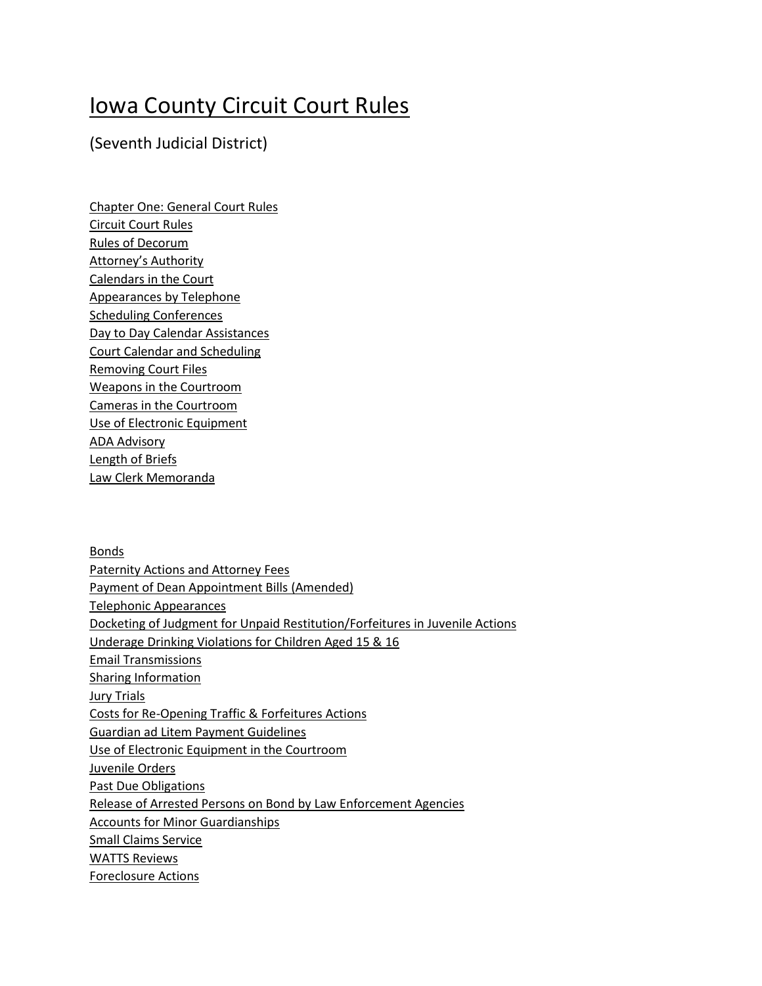# Iowa County Circuit Court Rules

## (Seventh Judicial District)

Chapter One: General Court Rules Circuit Court Rules Rules of Decorum Attorney's Authority Calendars in the Court Appearances by Telephone Scheduling Conferences Day to Day Calendar Assistances Court Calendar and Scheduling Removing Court Files Weapons in the Courtroom Cameras in the Courtroom Use of Electronic Equipment ADA Advisory Length of Briefs Law Clerk Memoranda

Bonds Paternity Actions and Attorney Fees Payment of Dean Appointment Bills (Amended) Telephonic Appearances Docketing of Judgment for Unpaid Restitution/Forfeitures in Juvenile Actions Underage Drinking Violations for Children Aged 15 & 16 Email Transmissions Sharing Information Jury Trials Costs for Re-Opening Traffic & Forfeitures Actions Guardian ad Litem Payment Guidelines Use of Electronic Equipment in the Courtroom Juvenile Orders Past Due Obligations Release of Arrested Persons on Bond by Law Enforcement Agencies Accounts for Minor Guardianships Small Claims Service WATTS Reviews Foreclosure Actions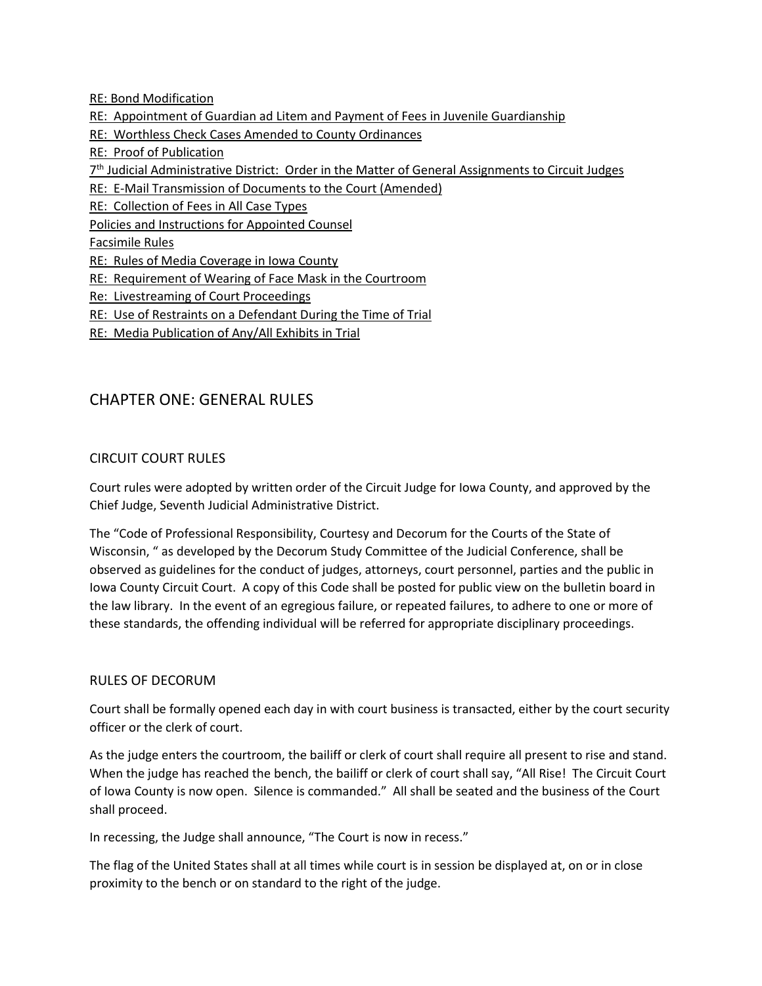RE: Bond Modification

- RE: Appointment of Guardian ad Litem and Payment of Fees in Juvenile Guardianship
- RE: Worthless Check Cases Amended to County Ordinances
- RE: Proof of Publication
- 7<sup>th</sup> Judicial Administrative District: Order in the Matter of General Assignments to Circuit Judges
- RE: E-Mail Transmission of Documents to the Court (Amended)
- RE: Collection of Fees in All Case Types

Policies and Instructions for Appointed Counsel

Facsimile Rules

- RE: Rules of Media Coverage in Iowa County
- RE: Requirement of Wearing of Face Mask in the Courtroom
- Re: Livestreaming of Court Proceedings
- RE: Use of Restraints on a Defendant During the Time of Trial
- RE: Media Publication of Any/All Exhibits in Trial

## CHAPTER ONE: GENERAL RULES

#### CIRCUIT COURT RULES

Court rules were adopted by written order of the Circuit Judge for Iowa County, and approved by the Chief Judge, Seventh Judicial Administrative District.

The "Code of Professional Responsibility, Courtesy and Decorum for the Courts of the State of Wisconsin, " as developed by the Decorum Study Committee of the Judicial Conference, shall be observed as guidelines for the conduct of judges, attorneys, court personnel, parties and the public in Iowa County Circuit Court. A copy of this Code shall be posted for public view on the bulletin board in the law library. In the event of an egregious failure, or repeated failures, to adhere to one or more of these standards, the offending individual will be referred for appropriate disciplinary proceedings.

#### RULES OF DECORUM

Court shall be formally opened each day in with court business is transacted, either by the court security officer or the clerk of court.

As the judge enters the courtroom, the bailiff or clerk of court shall require all present to rise and stand. When the judge has reached the bench, the bailiff or clerk of court shall say, "All Rise! The Circuit Court of Iowa County is now open. Silence is commanded." All shall be seated and the business of the Court shall proceed.

In recessing, the Judge shall announce, "The Court is now in recess."

The flag of the United States shall at all times while court is in session be displayed at, on or in close proximity to the bench or on standard to the right of the judge.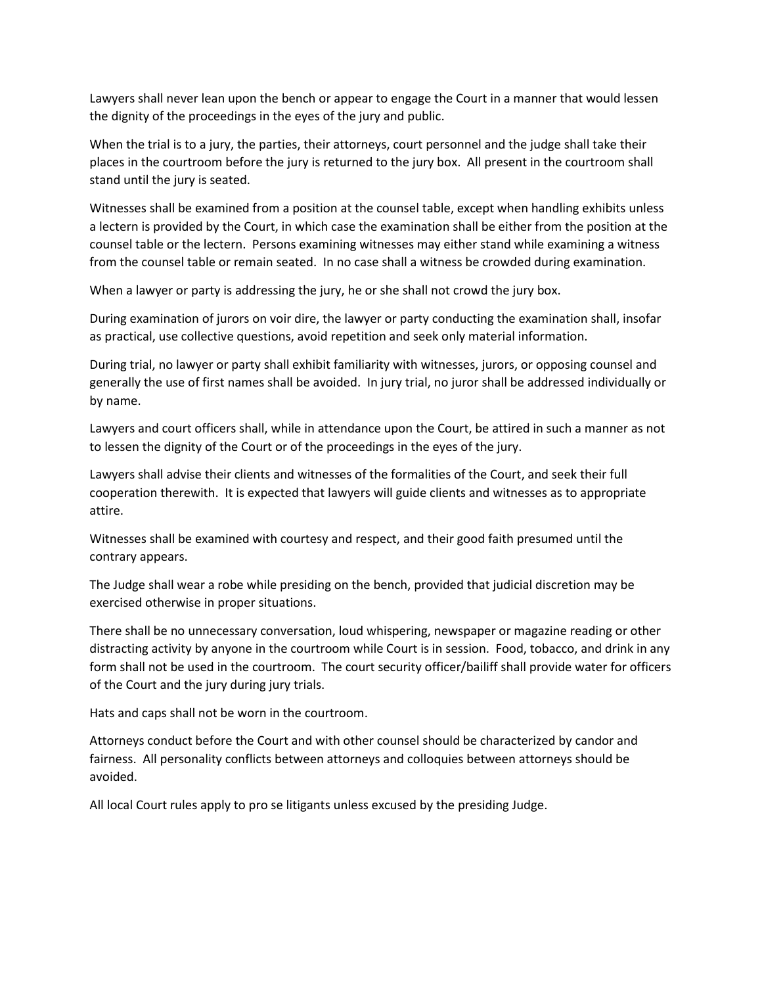Lawyers shall never lean upon the bench or appear to engage the Court in a manner that would lessen the dignity of the proceedings in the eyes of the jury and public.

When the trial is to a jury, the parties, their attorneys, court personnel and the judge shall take their places in the courtroom before the jury is returned to the jury box. All present in the courtroom shall stand until the jury is seated.

Witnesses shall be examined from a position at the counsel table, except when handling exhibits unless a lectern is provided by the Court, in which case the examination shall be either from the position at the counsel table or the lectern. Persons examining witnesses may either stand while examining a witness from the counsel table or remain seated. In no case shall a witness be crowded during examination.

When a lawyer or party is addressing the jury, he or she shall not crowd the jury box.

During examination of jurors on voir dire, the lawyer or party conducting the examination shall, insofar as practical, use collective questions, avoid repetition and seek only material information.

During trial, no lawyer or party shall exhibit familiarity with witnesses, jurors, or opposing counsel and generally the use of first names shall be avoided. In jury trial, no juror shall be addressed individually or by name.

Lawyers and court officers shall, while in attendance upon the Court, be attired in such a manner as not to lessen the dignity of the Court or of the proceedings in the eyes of the jury.

Lawyers shall advise their clients and witnesses of the formalities of the Court, and seek their full cooperation therewith. It is expected that lawyers will guide clients and witnesses as to appropriate attire.

Witnesses shall be examined with courtesy and respect, and their good faith presumed until the contrary appears.

The Judge shall wear a robe while presiding on the bench, provided that judicial discretion may be exercised otherwise in proper situations.

There shall be no unnecessary conversation, loud whispering, newspaper or magazine reading or other distracting activity by anyone in the courtroom while Court is in session. Food, tobacco, and drink in any form shall not be used in the courtroom. The court security officer/bailiff shall provide water for officers of the Court and the jury during jury trials.

Hats and caps shall not be worn in the courtroom.

Attorneys conduct before the Court and with other counsel should be characterized by candor and fairness. All personality conflicts between attorneys and colloquies between attorneys should be avoided.

All local Court rules apply to pro se litigants unless excused by the presiding Judge.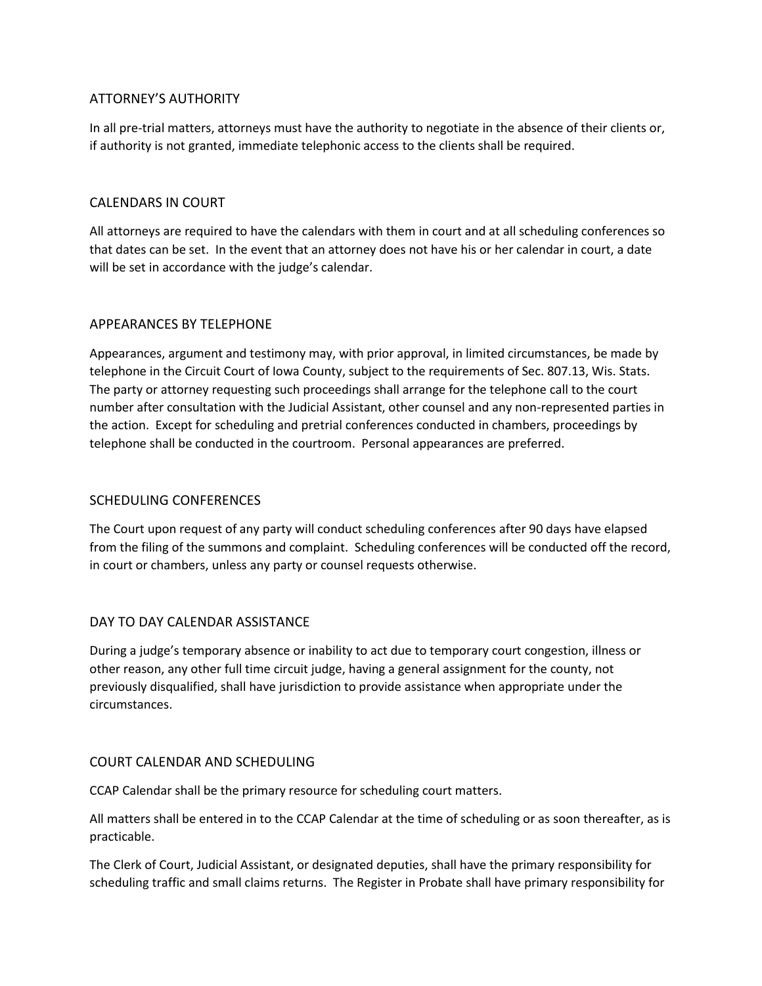### ATTORNEY'S AUTHORITY

In all pre-trial matters, attorneys must have the authority to negotiate in the absence of their clients or, if authority is not granted, immediate telephonic access to the clients shall be required.

#### CALENDARS IN COURT

All attorneys are required to have the calendars with them in court and at all scheduling conferences so that dates can be set. In the event that an attorney does not have his or her calendar in court, a date will be set in accordance with the judge's calendar.

#### APPEARANCES BY TELEPHONE

Appearances, argument and testimony may, with prior approval, in limited circumstances, be made by telephone in the Circuit Court of Iowa County, subject to the requirements of Sec. 807.13, Wis. Stats. The party or attorney requesting such proceedings shall arrange for the telephone call to the court number after consultation with the Judicial Assistant, other counsel and any non-represented parties in the action. Except for scheduling and pretrial conferences conducted in chambers, proceedings by telephone shall be conducted in the courtroom. Personal appearances are preferred.

#### SCHEDULING CONFERENCES

The Court upon request of any party will conduct scheduling conferences after 90 days have elapsed from the filing of the summons and complaint. Scheduling conferences will be conducted off the record, in court or chambers, unless any party or counsel requests otherwise.

#### DAY TO DAY CALENDAR ASSISTANCE

During a judge's temporary absence or inability to act due to temporary court congestion, illness or other reason, any other full time circuit judge, having a general assignment for the county, not previously disqualified, shall have jurisdiction to provide assistance when appropriate under the circumstances.

#### COURT CALENDAR AND SCHEDULING

CCAP Calendar shall be the primary resource for scheduling court matters.

All matters shall be entered in to the CCAP Calendar at the time of scheduling or as soon thereafter, as is practicable.

The Clerk of Court, Judicial Assistant, or designated deputies, shall have the primary responsibility for scheduling traffic and small claims returns. The Register in Probate shall have primary responsibility for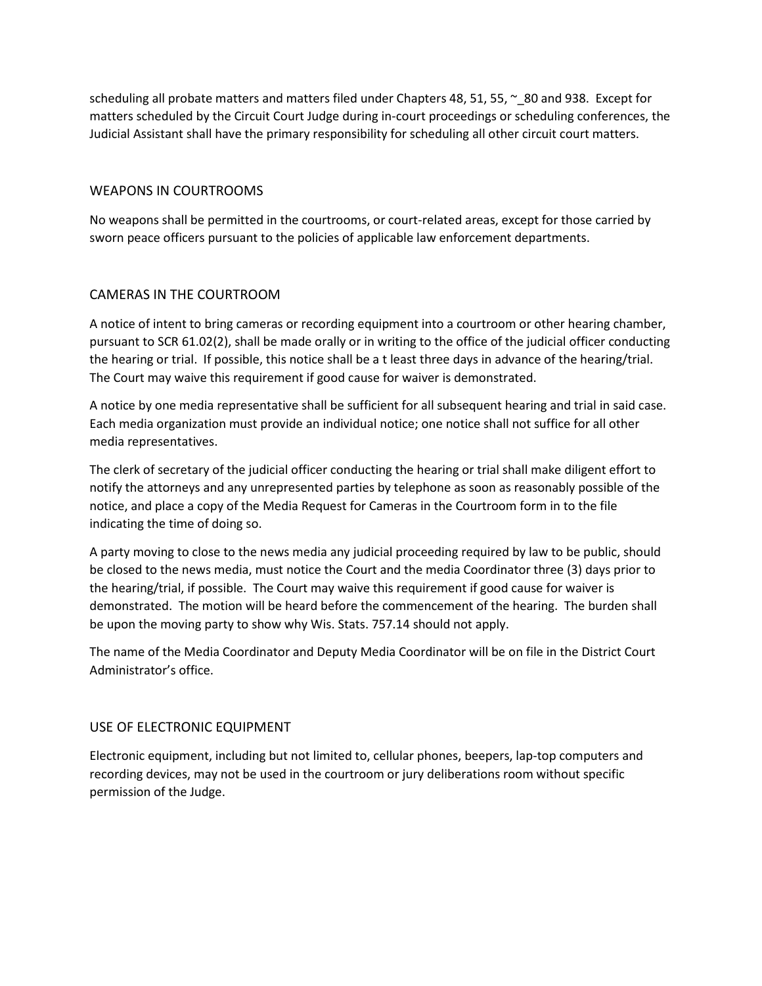scheduling all probate matters and matters filed under Chapters 48, 51, 55,  $\sim 80$  and 938. Except for matters scheduled by the Circuit Court Judge during in-court proceedings or scheduling conferences, the Judicial Assistant shall have the primary responsibility for scheduling all other circuit court matters.

#### WEAPONS IN COURTROOMS

No weapons shall be permitted in the courtrooms, or court-related areas, except for those carried by sworn peace officers pursuant to the policies of applicable law enforcement departments.

#### CAMERAS IN THE COURTROOM

A notice of intent to bring cameras or recording equipment into a courtroom or other hearing chamber, pursuant to SCR 61.02(2), shall be made orally or in writing to the office of the judicial officer conducting the hearing or trial. If possible, this notice shall be a t least three days in advance of the hearing/trial. The Court may waive this requirement if good cause for waiver is demonstrated.

A notice by one media representative shall be sufficient for all subsequent hearing and trial in said case. Each media organization must provide an individual notice; one notice shall not suffice for all other media representatives.

The clerk of secretary of the judicial officer conducting the hearing or trial shall make diligent effort to notify the attorneys and any unrepresented parties by telephone as soon as reasonably possible of the notice, and place a copy of the Media Request for Cameras in the Courtroom form in to the file indicating the time of doing so.

A party moving to close to the news media any judicial proceeding required by law to be public, should be closed to the news media, must notice the Court and the media Coordinator three (3) days prior to the hearing/trial, if possible. The Court may waive this requirement if good cause for waiver is demonstrated. The motion will be heard before the commencement of the hearing. The burden shall be upon the moving party to show why Wis. Stats. 757.14 should not apply.

The name of the Media Coordinator and Deputy Media Coordinator will be on file in the District Court Administrator's office.

#### USE OF ELECTRONIC EQUIPMENT

Electronic equipment, including but not limited to, cellular phones, beepers, lap-top computers and recording devices, may not be used in the courtroom or jury deliberations room without specific permission of the Judge.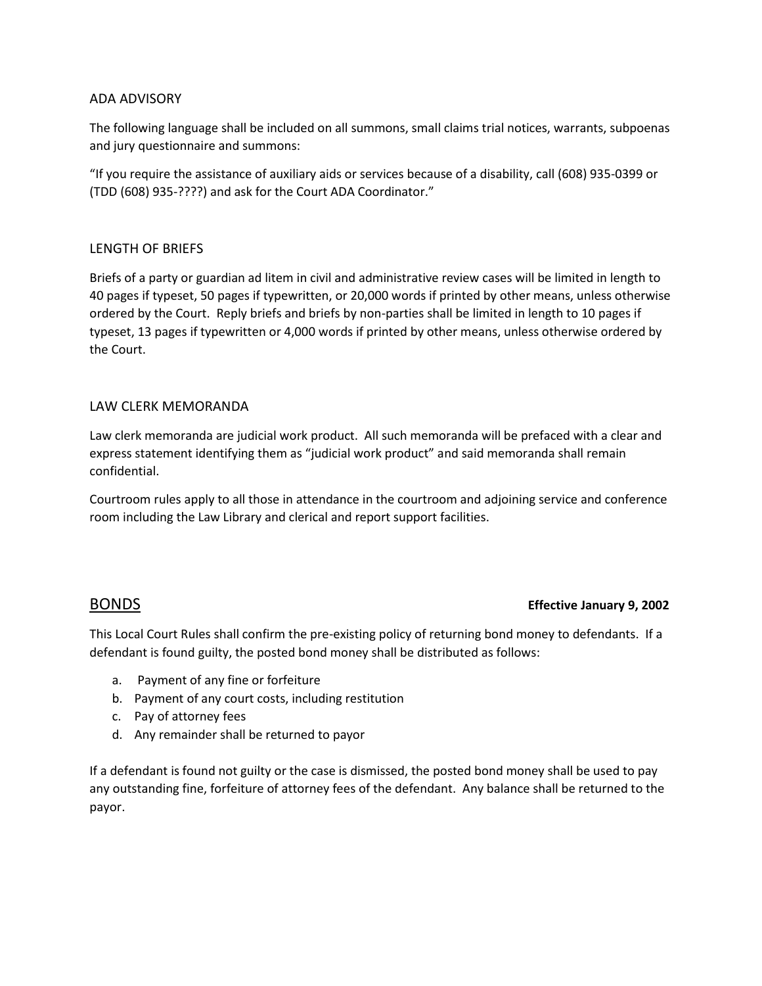#### ADA ADVISORY

The following language shall be included on all summons, small claims trial notices, warrants, subpoenas and jury questionnaire and summons:

"If you require the assistance of auxiliary aids or services because of a disability, call (608) 935-0399 or (TDD (608) 935-????) and ask for the Court ADA Coordinator."

#### LENGTH OF BRIEFS

Briefs of a party or guardian ad litem in civil and administrative review cases will be limited in length to 40 pages if typeset, 50 pages if typewritten, or 20,000 words if printed by other means, unless otherwise ordered by the Court. Reply briefs and briefs by non-parties shall be limited in length to 10 pages if typeset, 13 pages if typewritten or 4,000 words if printed by other means, unless otherwise ordered by the Court.

#### LAW CLERK MEMORANDA

Law clerk memoranda are judicial work product. All such memoranda will be prefaced with a clear and express statement identifying them as "judicial work product" and said memoranda shall remain confidential.

Courtroom rules apply to all those in attendance in the courtroom and adjoining service and conference room including the Law Library and clerical and report support facilities.

#### BONDS **Effective January 9, 2002**

This Local Court Rules shall confirm the pre-existing policy of returning bond money to defendants. If a defendant is found guilty, the posted bond money shall be distributed as follows:

- a. Payment of any fine or forfeiture
- b. Payment of any court costs, including restitution
- c. Pay of attorney fees
- d. Any remainder shall be returned to payor

If a defendant is found not guilty or the case is dismissed, the posted bond money shall be used to pay any outstanding fine, forfeiture of attorney fees of the defendant. Any balance shall be returned to the payor.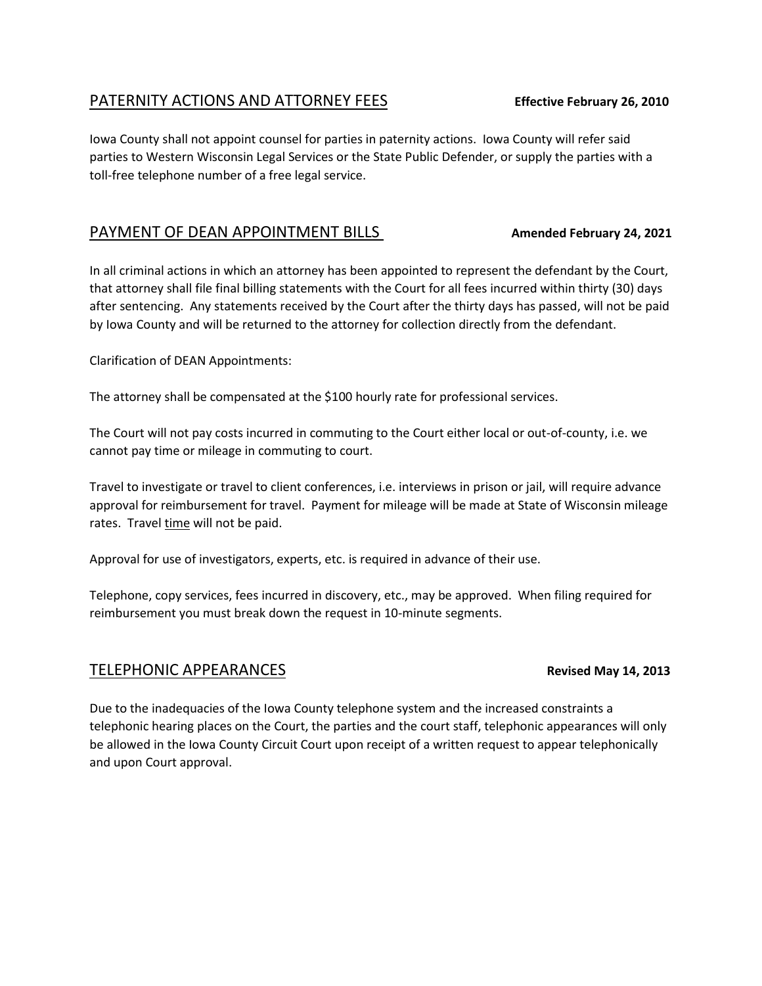## PATERNITY ACTIONS AND ATTORNEY FEES **Effective February 26, 2010**

Iowa County shall not appoint counsel for parties in paternity actions. Iowa County will refer said parties to Western Wisconsin Legal Services or the State Public Defender, or supply the parties with a toll-free telephone number of a free legal service.

## PAYMENT OF DEAN APPOINTMENT BILLS **Amended February 24, 2021**

In all criminal actions in which an attorney has been appointed to represent the defendant by the Court, that attorney shall file final billing statements with the Court for all fees incurred within thirty (30) days after sentencing. Any statements received by the Court after the thirty days has passed, will not be paid by Iowa County and will be returned to the attorney for collection directly from the defendant.

Clarification of DEAN Appointments:

The attorney shall be compensated at the \$100 hourly rate for professional services.

The Court will not pay costs incurred in commuting to the Court either local or out-of-county, i.e. we cannot pay time or mileage in commuting to court.

Travel to investigate or travel to client conferences, i.e. interviews in prison or jail, will require advance approval for reimbursement for travel. Payment for mileage will be made at State of Wisconsin mileage rates. Travel time will not be paid.

Approval for use of investigators, experts, etc. is required in advance of their use.

Telephone, copy services, fees incurred in discovery, etc., may be approved. When filing required for reimbursement you must break down the request in 10-minute segments.

## TELEPHONIC APPEARANCES **Revised May 14, 2013**

Due to the inadequacies of the Iowa County telephone system and the increased constraints a telephonic hearing places on the Court, the parties and the court staff, telephonic appearances will only be allowed in the Iowa County Circuit Court upon receipt of a written request to appear telephonically and upon Court approval.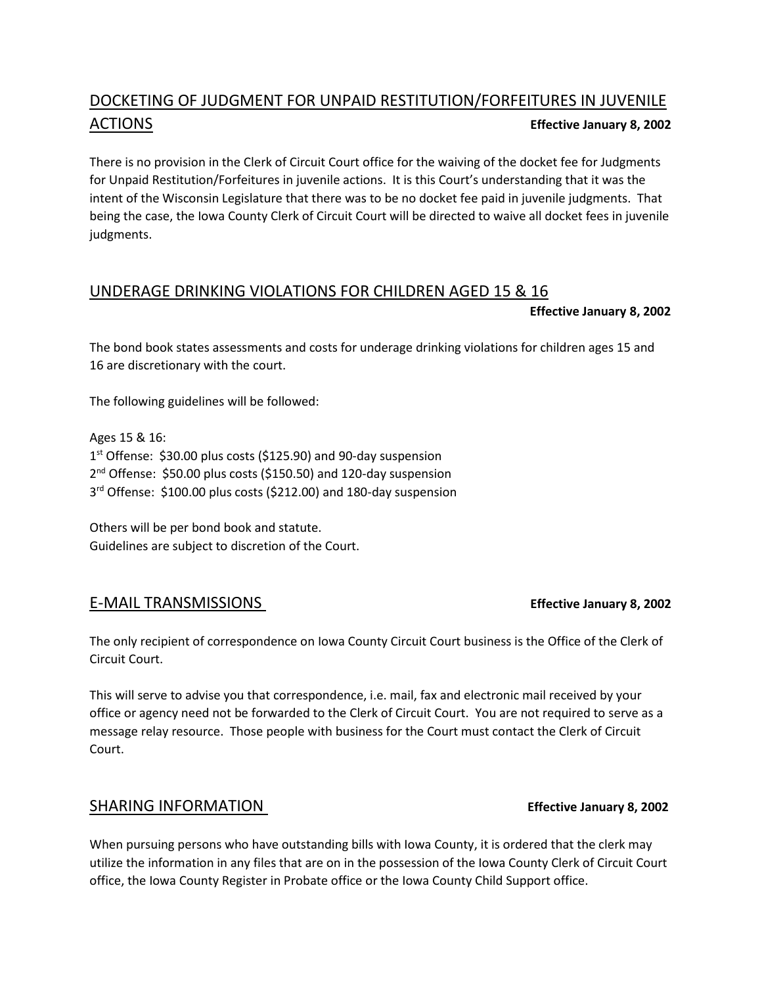## DOCKETING OF JUDGMENT FOR UNPAID RESTITUTION/FORFEITURES IN JUVENILE ACTIONS **Effective January 8, 2002**

There is no provision in the Clerk of Circuit Court office for the waiving of the docket fee for Judgments for Unpaid Restitution/Forfeitures in juvenile actions. It is this Court's understanding that it was the intent of the Wisconsin Legislature that there was to be no docket fee paid in juvenile judgments. That being the case, the Iowa County Clerk of Circuit Court will be directed to waive all docket fees in juvenile judgments.

## UNDERAGE DRINKING VIOLATIONS FOR CHILDREN AGED 15 & 16

#### **Effective January 8, 2002**

The bond book states assessments and costs for underage drinking violations for children ages 15 and 16 are discretionary with the court.

The following guidelines will be followed:

Ages 15 & 16: 1 st Offense: \$30.00 plus costs (\$125.90) and 90-day suspension 2<sup>nd</sup> Offense: \$50.00 plus costs (\$150.50) and 120-day suspension 3 rd Offense: \$100.00 plus costs (\$212.00) and 180-day suspension

Others will be per bond book and statute. Guidelines are subject to discretion of the Court.

### E-MAIL TRANSMISSIONS **Effective January 8, 2002**

The only recipient of correspondence on Iowa County Circuit Court business is the Office of the Clerk of Circuit Court.

This will serve to advise you that correspondence, i.e. mail, fax and electronic mail received by your office or agency need not be forwarded to the Clerk of Circuit Court. You are not required to serve as a message relay resource. Those people with business for the Court must contact the Clerk of Circuit Court.

### SHARING INFORMATION **Effective January 8, 2002**

When pursuing persons who have outstanding bills with Iowa County, it is ordered that the clerk may utilize the information in any files that are on in the possession of the Iowa County Clerk of Circuit Court office, the Iowa County Register in Probate office or the Iowa County Child Support office.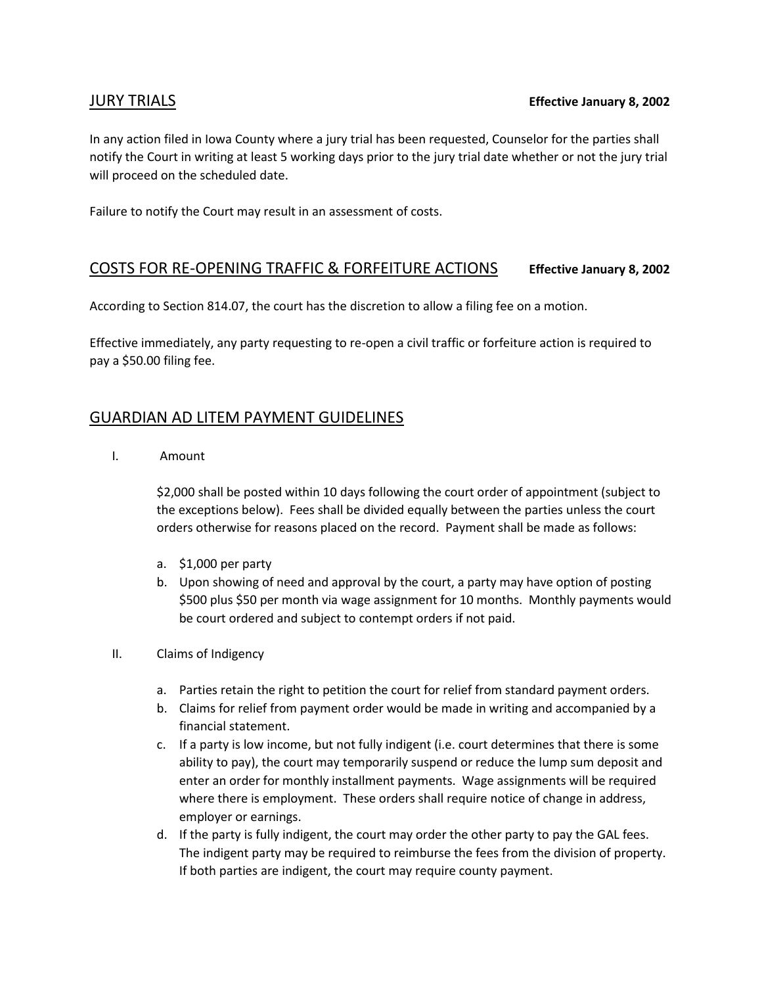In any action filed in Iowa County where a jury trial has been requested, Counselor for the parties shall notify the Court in writing at least 5 working days prior to the jury trial date whether or not the jury trial will proceed on the scheduled date.

Failure to notify the Court may result in an assessment of costs.

### COSTS FOR RE-OPENING TRAFFIC & FORFEITURE ACTIONS **Effective January 8, 2002**

According to Section 814.07, the court has the discretion to allow a filing fee on a motion.

Effective immediately, any party requesting to re-open a civil traffic or forfeiture action is required to pay a \$50.00 filing fee.

## GUARDIAN AD LITEM PAYMENT GUIDELINES

I. Amount

\$2,000 shall be posted within 10 days following the court order of appointment (subject to the exceptions below). Fees shall be divided equally between the parties unless the court orders otherwise for reasons placed on the record. Payment shall be made as follows:

- a. \$1,000 per party
- b. Upon showing of need and approval by the court, a party may have option of posting \$500 plus \$50 per month via wage assignment for 10 months. Monthly payments would be court ordered and subject to contempt orders if not paid.
- II. Claims of Indigency
	- a. Parties retain the right to petition the court for relief from standard payment orders.
	- b. Claims for relief from payment order would be made in writing and accompanied by a financial statement.
	- c. If a party is low income, but not fully indigent (i.e. court determines that there is some ability to pay), the court may temporarily suspend or reduce the lump sum deposit and enter an order for monthly installment payments. Wage assignments will be required where there is employment. These orders shall require notice of change in address, employer or earnings.
	- d. If the party is fully indigent, the court may order the other party to pay the GAL fees. The indigent party may be required to reimburse the fees from the division of property. If both parties are indigent, the court may require county payment.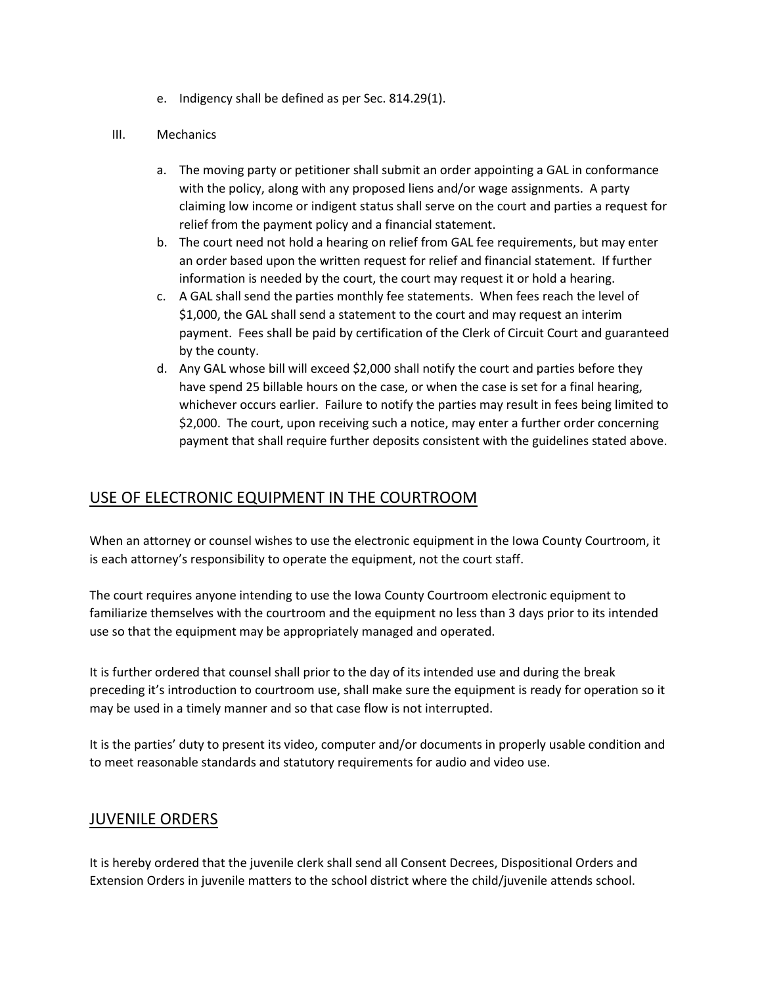e. Indigency shall be defined as per Sec. 814.29(1).

#### III. Mechanics

- a. The moving party or petitioner shall submit an order appointing a GAL in conformance with the policy, along with any proposed liens and/or wage assignments. A party claiming low income or indigent status shall serve on the court and parties a request for relief from the payment policy and a financial statement.
- b. The court need not hold a hearing on relief from GAL fee requirements, but may enter an order based upon the written request for relief and financial statement. If further information is needed by the court, the court may request it or hold a hearing.
- c. A GAL shall send the parties monthly fee statements. When fees reach the level of \$1,000, the GAL shall send a statement to the court and may request an interim payment. Fees shall be paid by certification of the Clerk of Circuit Court and guaranteed by the county.
- d. Any GAL whose bill will exceed \$2,000 shall notify the court and parties before they have spend 25 billable hours on the case, or when the case is set for a final hearing, whichever occurs earlier. Failure to notify the parties may result in fees being limited to \$2,000. The court, upon receiving such a notice, may enter a further order concerning payment that shall require further deposits consistent with the guidelines stated above.

## USE OF ELECTRONIC EQUIPMENT IN THE COURTROOM

When an attorney or counsel wishes to use the electronic equipment in the Iowa County Courtroom, it is each attorney's responsibility to operate the equipment, not the court staff.

The court requires anyone intending to use the Iowa County Courtroom electronic equipment to familiarize themselves with the courtroom and the equipment no less than 3 days prior to its intended use so that the equipment may be appropriately managed and operated.

It is further ordered that counsel shall prior to the day of its intended use and during the break preceding it's introduction to courtroom use, shall make sure the equipment is ready for operation so it may be used in a timely manner and so that case flow is not interrupted.

It is the parties' duty to present its video, computer and/or documents in properly usable condition and to meet reasonable standards and statutory requirements for audio and video use.

### JUVENILE ORDERS

It is hereby ordered that the juvenile clerk shall send all Consent Decrees, Dispositional Orders and Extension Orders in juvenile matters to the school district where the child/juvenile attends school.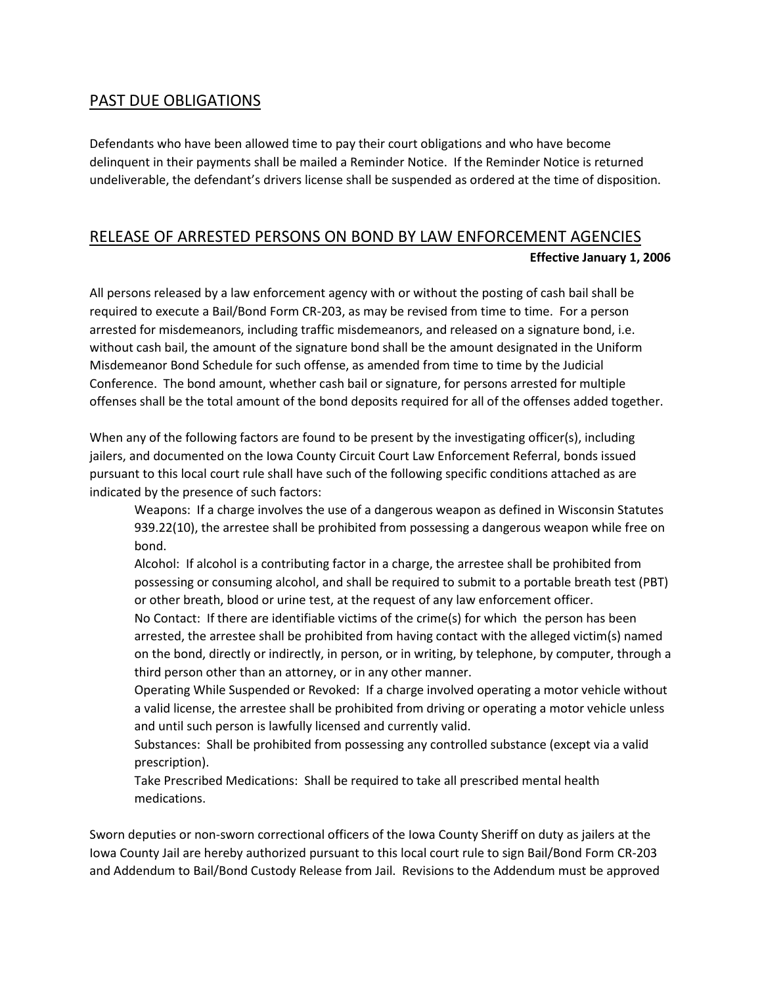## PAST DUE OBLIGATIONS

Defendants who have been allowed time to pay their court obligations and who have become delinquent in their payments shall be mailed a Reminder Notice. If the Reminder Notice is returned undeliverable, the defendant's drivers license shall be suspended as ordered at the time of disposition.

## RELEASE OF ARRESTED PERSONS ON BOND BY LAW ENFORCEMENT AGENCIES **Effective January 1, 2006**

All persons released by a law enforcement agency with or without the posting of cash bail shall be required to execute a Bail/Bond Form CR-203, as may be revised from time to time. For a person arrested for misdemeanors, including traffic misdemeanors, and released on a signature bond, i.e. without cash bail, the amount of the signature bond shall be the amount designated in the Uniform Misdemeanor Bond Schedule for such offense, as amended from time to time by the Judicial Conference. The bond amount, whether cash bail or signature, for persons arrested for multiple offenses shall be the total amount of the bond deposits required for all of the offenses added together.

When any of the following factors are found to be present by the investigating officer(s), including jailers, and documented on the Iowa County Circuit Court Law Enforcement Referral, bonds issued pursuant to this local court rule shall have such of the following specific conditions attached as are indicated by the presence of such factors:

Weapons: If a charge involves the use of a dangerous weapon as defined in Wisconsin Statutes 939.22(10), the arrestee shall be prohibited from possessing a dangerous weapon while free on bond.

Alcohol: If alcohol is a contributing factor in a charge, the arrestee shall be prohibited from possessing or consuming alcohol, and shall be required to submit to a portable breath test (PBT) or other breath, blood or urine test, at the request of any law enforcement officer.

No Contact: If there are identifiable victims of the crime(s) for which the person has been arrested, the arrestee shall be prohibited from having contact with the alleged victim(s) named on the bond, directly or indirectly, in person, or in writing, by telephone, by computer, through a third person other than an attorney, or in any other manner.

Operating While Suspended or Revoked: If a charge involved operating a motor vehicle without a valid license, the arrestee shall be prohibited from driving or operating a motor vehicle unless and until such person is lawfully licensed and currently valid.

Substances: Shall be prohibited from possessing any controlled substance (except via a valid prescription).

Take Prescribed Medications: Shall be required to take all prescribed mental health medications.

Sworn deputies or non-sworn correctional officers of the Iowa County Sheriff on duty as jailers at the Iowa County Jail are hereby authorized pursuant to this local court rule to sign Bail/Bond Form CR-203 and Addendum to Bail/Bond Custody Release from Jail. Revisions to the Addendum must be approved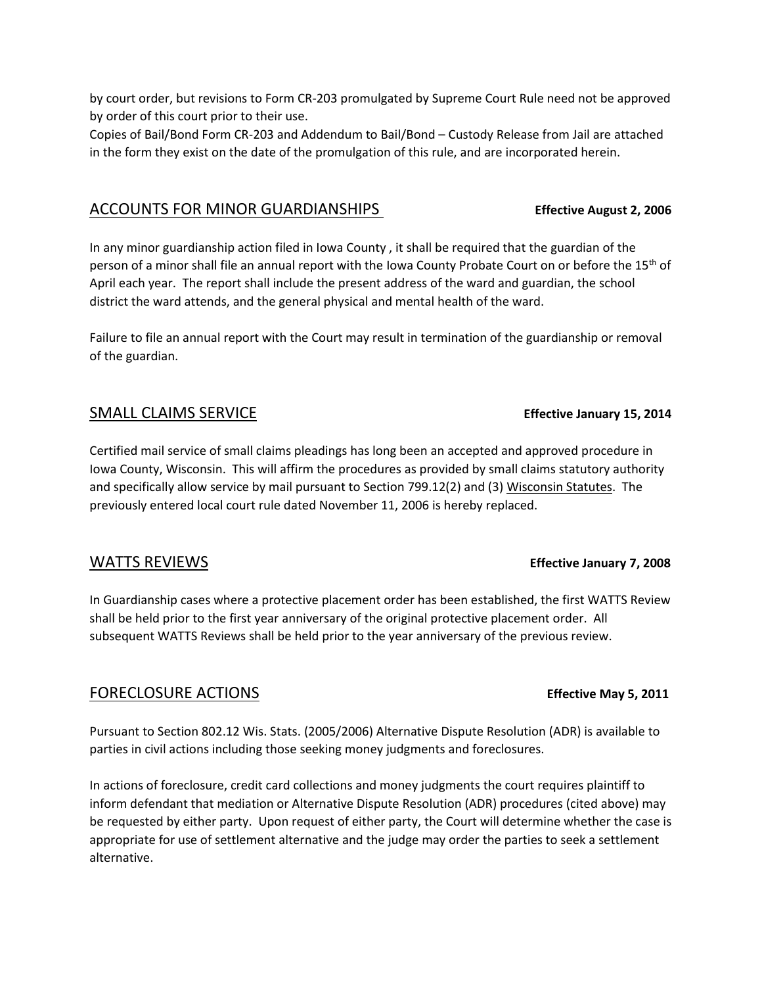by court order, but revisions to Form CR-203 promulgated by Supreme Court Rule need not be approved by order of this court prior to their use.

Copies of Bail/Bond Form CR-203 and Addendum to Bail/Bond – Custody Release from Jail are attached in the form they exist on the date of the promulgation of this rule, and are incorporated herein.

### ACCOUNTS FOR MINOR GUARDIANSHIPS **Effective August 2, 2006**

In any minor guardianship action filed in Iowa County , it shall be required that the guardian of the person of a minor shall file an annual report with the Iowa County Probate Court on or before the 15<sup>th</sup> of April each year. The report shall include the present address of the ward and guardian, the school district the ward attends, and the general physical and mental health of the ward.

Failure to file an annual report with the Court may result in termination of the guardianship or removal of the guardian.

### SMALL CLAIMS SERVICE **Effective January 15, 2014**

Certified mail service of small claims pleadings has long been an accepted and approved procedure in Iowa County, Wisconsin. This will affirm the procedures as provided by small claims statutory authority and specifically allow service by mail pursuant to Section 799.12(2) and (3) Wisconsin Statutes. The previously entered local court rule dated November 11, 2006 is hereby replaced.

### WATTS REVIEWS **Effective January 7, 2008**

In Guardianship cases where a protective placement order has been established, the first WATTS Review shall be held prior to the first year anniversary of the original protective placement order. All subsequent WATTS Reviews shall be held prior to the year anniversary of the previous review.

### FORECLOSURE ACTIONS **Effective May 5, 2011**

Pursuant to Section 802.12 Wis. Stats. (2005/2006) Alternative Dispute Resolution (ADR) is available to parties in civil actions including those seeking money judgments and foreclosures.

In actions of foreclosure, credit card collections and money judgments the court requires plaintiff to inform defendant that mediation or Alternative Dispute Resolution (ADR) procedures (cited above) may be requested by either party. Upon request of either party, the Court will determine whether the case is appropriate for use of settlement alternative and the judge may order the parties to seek a settlement alternative.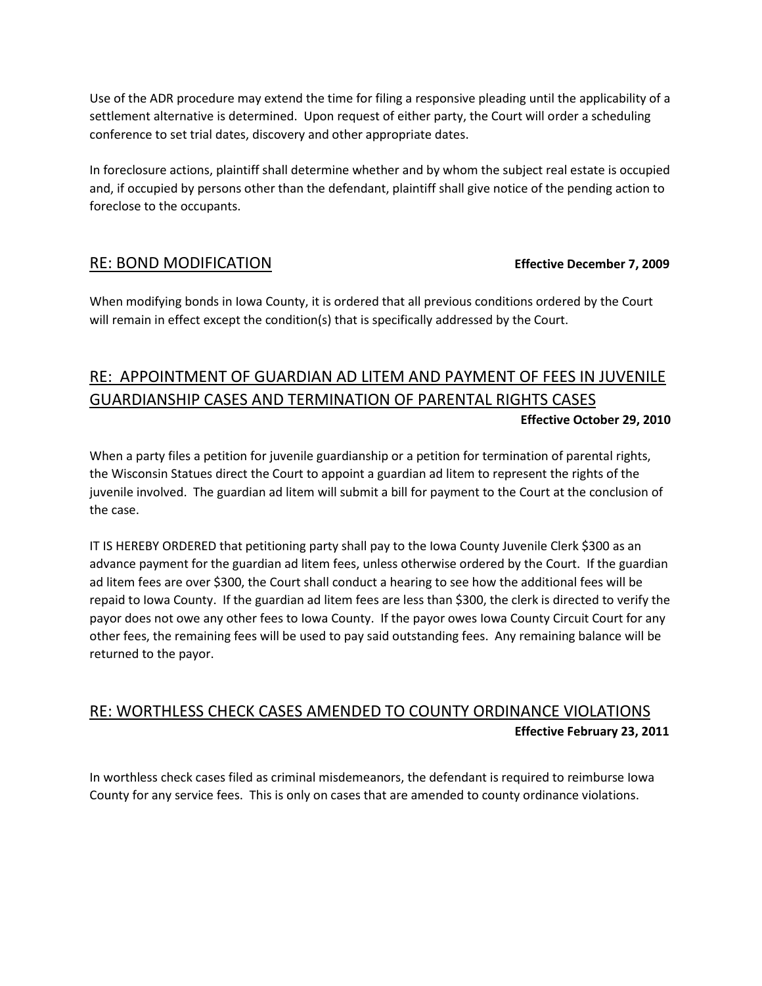Use of the ADR procedure may extend the time for filing a responsive pleading until the applicability of a settlement alternative is determined. Upon request of either party, the Court will order a scheduling conference to set trial dates, discovery and other appropriate dates.

In foreclosure actions, plaintiff shall determine whether and by whom the subject real estate is occupied and, if occupied by persons other than the defendant, plaintiff shall give notice of the pending action to foreclose to the occupants.

## RE: BOND MODIFICATION **Effective December 7, 2009**

When modifying bonds in Iowa County, it is ordered that all previous conditions ordered by the Court will remain in effect except the condition(s) that is specifically addressed by the Court.

## RE: APPOINTMENT OF GUARDIAN AD LITEM AND PAYMENT OF FEES IN JUVENILE GUARDIANSHIP CASES AND TERMINATION OF PARENTAL RIGHTS CASES **Effective October 29, 2010**

When a party files a petition for juvenile guardianship or a petition for termination of parental rights, the Wisconsin Statues direct the Court to appoint a guardian ad litem to represent the rights of the juvenile involved. The guardian ad litem will submit a bill for payment to the Court at the conclusion of the case.

IT IS HEREBY ORDERED that petitioning party shall pay to the Iowa County Juvenile Clerk \$300 as an advance payment for the guardian ad litem fees, unless otherwise ordered by the Court. If the guardian ad litem fees are over \$300, the Court shall conduct a hearing to see how the additional fees will be repaid to Iowa County. If the guardian ad litem fees are less than \$300, the clerk is directed to verify the payor does not owe any other fees to Iowa County. If the payor owes Iowa County Circuit Court for any other fees, the remaining fees will be used to pay said outstanding fees. Any remaining balance will be returned to the payor.

## RE: WORTHLESS CHECK CASES AMENDED TO COUNTY ORDINANCE VIOLATIONS **Effective February 23, 2011**

In worthless check cases filed as criminal misdemeanors, the defendant is required to reimburse Iowa County for any service fees. This is only on cases that are amended to county ordinance violations.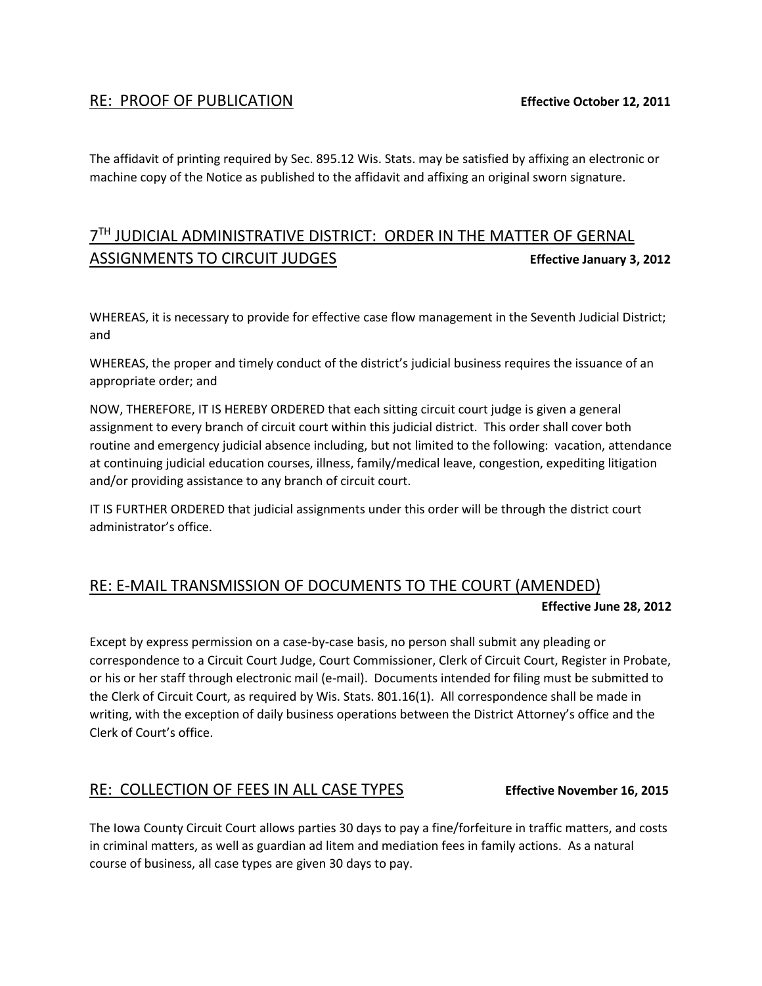## RE: PROOF OF PUBLICATION **Effective October 12, 2011**

The affidavit of printing required by Sec. 895.12 Wis. Stats. may be satisfied by affixing an electronic or machine copy of the Notice as published to the affidavit and affixing an original sworn signature.

## 7<sup>TH</sup> JUDICIAL ADMINISTRATIVE DISTRICT: ORDER IN THE MATTER OF GERNAL ASSIGNMENTS TO CIRCUIT JUDGES **Effective January 3, 2012**

WHEREAS, it is necessary to provide for effective case flow management in the Seventh Judicial District; and

WHEREAS, the proper and timely conduct of the district's judicial business requires the issuance of an appropriate order; and

NOW, THEREFORE, IT IS HEREBY ORDERED that each sitting circuit court judge is given a general assignment to every branch of circuit court within this judicial district. This order shall cover both routine and emergency judicial absence including, but not limited to the following: vacation, attendance at continuing judicial education courses, illness, family/medical leave, congestion, expediting litigation and/or providing assistance to any branch of circuit court.

IT IS FURTHER ORDERED that judicial assignments under this order will be through the district court administrator's office.

## RE: E-MAIL TRANSMISSION OF DOCUMENTS TO THE COURT (AMENDED)  **Effective June 28, 2012**

Except by express permission on a case-by-case basis, no person shall submit any pleading or correspondence to a Circuit Court Judge, Court Commissioner, Clerk of Circuit Court, Register in Probate, or his or her staff through electronic mail (e-mail). Documents intended for filing must be submitted to the Clerk of Circuit Court, as required by Wis. Stats. 801.16(1). All correspondence shall be made in writing, with the exception of daily business operations between the District Attorney's office and the Clerk of Court's office.

## RE: COLLECTION OF FEES IN ALL CASE TYPES **Effective November 16, 2015**

The Iowa County Circuit Court allows parties 30 days to pay a fine/forfeiture in traffic matters, and costs in criminal matters, as well as guardian ad litem and mediation fees in family actions. As a natural course of business, all case types are given 30 days to pay.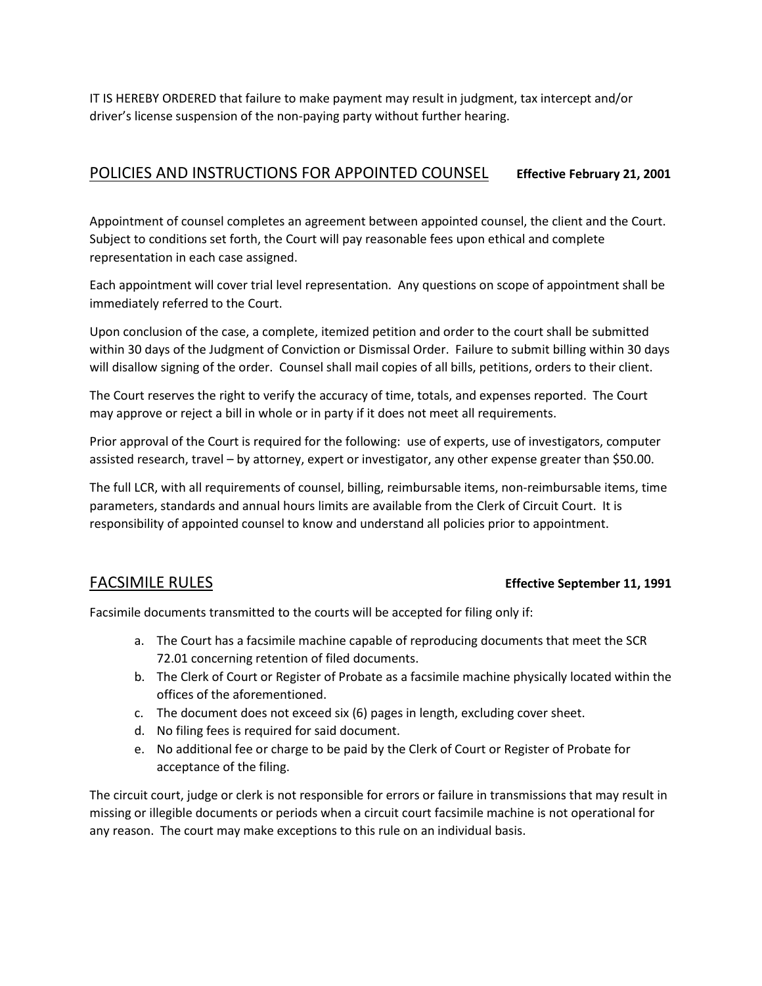IT IS HEREBY ORDERED that failure to make payment may result in judgment, tax intercept and/or driver's license suspension of the non-paying party without further hearing.

## POLICIES AND INSTRUCTIONS FOR APPOINTED COUNSEL **Effective February 21, 2001**

Appointment of counsel completes an agreement between appointed counsel, the client and the Court. Subject to conditions set forth, the Court will pay reasonable fees upon ethical and complete representation in each case assigned.

Each appointment will cover trial level representation. Any questions on scope of appointment shall be immediately referred to the Court.

Upon conclusion of the case, a complete, itemized petition and order to the court shall be submitted within 30 days of the Judgment of Conviction or Dismissal Order. Failure to submit billing within 30 days will disallow signing of the order. Counsel shall mail copies of all bills, petitions, orders to their client.

The Court reserves the right to verify the accuracy of time, totals, and expenses reported. The Court may approve or reject a bill in whole or in party if it does not meet all requirements.

Prior approval of the Court is required for the following: use of experts, use of investigators, computer assisted research, travel – by attorney, expert or investigator, any other expense greater than \$50.00.

The full LCR, with all requirements of counsel, billing, reimbursable items, non-reimbursable items, time parameters, standards and annual hours limits are available from the Clerk of Circuit Court. It is responsibility of appointed counsel to know and understand all policies prior to appointment.

### FACSIMILE RULES **Effective September 11, 1991**

Facsimile documents transmitted to the courts will be accepted for filing only if:

- a. The Court has a facsimile machine capable of reproducing documents that meet the SCR 72.01 concerning retention of filed documents.
- b. The Clerk of Court or Register of Probate as a facsimile machine physically located within the offices of the aforementioned.
- c. The document does not exceed six (6) pages in length, excluding cover sheet.
- d. No filing fees is required for said document.
- e. No additional fee or charge to be paid by the Clerk of Court or Register of Probate for acceptance of the filing.

The circuit court, judge or clerk is not responsible for errors or failure in transmissions that may result in missing or illegible documents or periods when a circuit court facsimile machine is not operational for any reason. The court may make exceptions to this rule on an individual basis.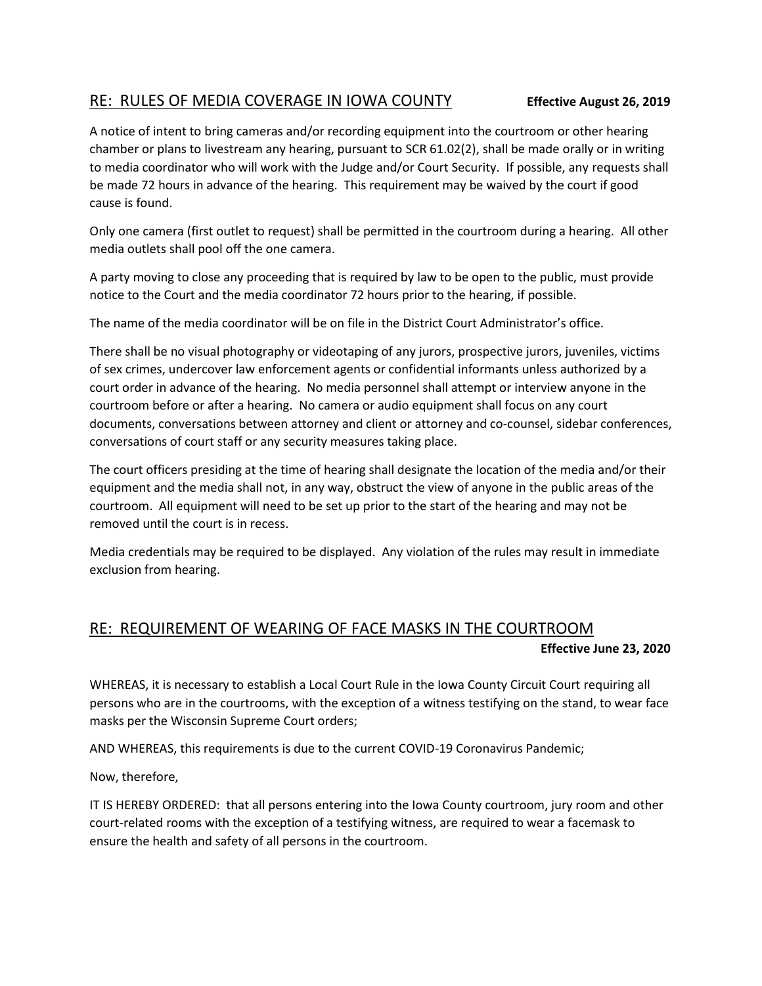## RE: RULES OF MEDIA COVERAGE IN IOWA COUNTY **Effective August 26, 2019**

A notice of intent to bring cameras and/or recording equipment into the courtroom or other hearing chamber or plans to livestream any hearing, pursuant to SCR 61.02(2), shall be made orally or in writing to media coordinator who will work with the Judge and/or Court Security. If possible, any requests shall be made 72 hours in advance of the hearing. This requirement may be waived by the court if good cause is found.

Only one camera (first outlet to request) shall be permitted in the courtroom during a hearing. All other media outlets shall pool off the one camera.

A party moving to close any proceeding that is required by law to be open to the public, must provide notice to the Court and the media coordinator 72 hours prior to the hearing, if possible.

The name of the media coordinator will be on file in the District Court Administrator's office.

There shall be no visual photography or videotaping of any jurors, prospective jurors, juveniles, victims of sex crimes, undercover law enforcement agents or confidential informants unless authorized by a court order in advance of the hearing. No media personnel shall attempt or interview anyone in the courtroom before or after a hearing. No camera or audio equipment shall focus on any court documents, conversations between attorney and client or attorney and co-counsel, sidebar conferences, conversations of court staff or any security measures taking place.

The court officers presiding at the time of hearing shall designate the location of the media and/or their equipment and the media shall not, in any way, obstruct the view of anyone in the public areas of the courtroom. All equipment will need to be set up prior to the start of the hearing and may not be removed until the court is in recess.

Media credentials may be required to be displayed. Any violation of the rules may result in immediate exclusion from hearing.

## RE: REQUIREMENT OF WEARING OF FACE MASKS IN THE COURTROOM

**Effective June 23, 2020**

WHEREAS, it is necessary to establish a Local Court Rule in the Iowa County Circuit Court requiring all persons who are in the courtrooms, with the exception of a witness testifying on the stand, to wear face masks per the Wisconsin Supreme Court orders;

AND WHEREAS, this requirements is due to the current COVID-19 Coronavirus Pandemic;

Now, therefore,

IT IS HEREBY ORDERED: that all persons entering into the Iowa County courtroom, jury room and other court-related rooms with the exception of a testifying witness, are required to wear a facemask to ensure the health and safety of all persons in the courtroom.